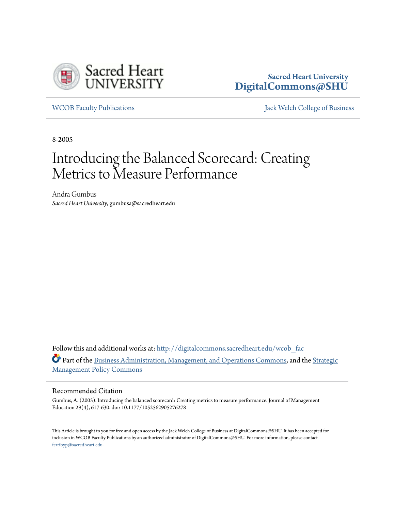

**Sacred Heart University [DigitalCommons@SHU](http://digitalcommons.sacredheart.edu?utm_source=digitalcommons.sacredheart.edu%2Fwcob_fac%2F66&utm_medium=PDF&utm_campaign=PDFCoverPages)**

[WCOB Faculty Publications](http://digitalcommons.sacredheart.edu/wcob_fac?utm_source=digitalcommons.sacredheart.edu%2Fwcob_fac%2F66&utm_medium=PDF&utm_campaign=PDFCoverPages) [Jack Welch College of Business](http://digitalcommons.sacredheart.edu/wcob?utm_source=digitalcommons.sacredheart.edu%2Fwcob_fac%2F66&utm_medium=PDF&utm_campaign=PDFCoverPages)

8-2005

# Introducing the Balanced Scorecard: Creating Metrics to Measure Performance

Andra Gumbus *Sacred Heart University*, gumbusa@sacredheart.edu

Follow this and additional works at: [http://digitalcommons.sacredheart.edu/wcob\\_fac](http://digitalcommons.sacredheart.edu/wcob_fac?utm_source=digitalcommons.sacredheart.edu%2Fwcob_fac%2F66&utm_medium=PDF&utm_campaign=PDFCoverPages) Part of the [Business Administration, Management, and Operations Commons](https://network.bepress.com/hgg/discipline/623?utm_source=digitalcommons.sacredheart.edu%2Fwcob_fac%2F66&utm_medium=PDF&utm_campaign=PDFCoverPages), and the [Strategic](https://network.bepress.com/hgg/discipline/642?utm_source=digitalcommons.sacredheart.edu%2Fwcob_fac%2F66&utm_medium=PDF&utm_campaign=PDFCoverPages) [Management Policy Commons](https://network.bepress.com/hgg/discipline/642?utm_source=digitalcommons.sacredheart.edu%2Fwcob_fac%2F66&utm_medium=PDF&utm_campaign=PDFCoverPages)

# Recommended Citation

Gumbus, A. (2005). Introducing the balanced scorecard: Creating metrics to measure performance. Journal of Management Education 29(4), 617-630. doi: 10.1177/1052562905276278

This Article is brought to you for free and open access by the Jack Welch College of Business at DigitalCommons@SHU. It has been accepted for inclusion in WCOB Faculty Publications by an authorized administrator of DigitalCommons@SHU. For more information, please contact [ferribyp@sacredheart.edu](mailto:ferribyp@sacredheart.edu).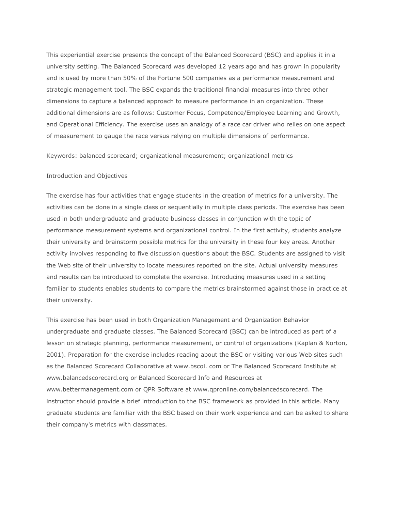This experiential exercise presents the concept of the Balanced Scorecard (BSC) and applies it in a university setting. The Balanced Scorecard was developed 12 years ago and has grown in popularity and is used by more than 50% of the Fortune 500 companies as a performance measurement and strategic management tool. The BSC expands the traditional financial measures into three other dimensions to capture a balanced approach to measure performance in an organization. These additional dimensions are as follows: Customer Focus, Competence/Employee Learning and Growth, and Operational Efficiency. The exercise uses an analogy of a race car driver who relies on one aspect of measurement to gauge the race versus relying on multiple dimensions of performance.

Keywords: balanced scorecard; organizational measurement; organizational metrics

#### Introduction and Objectives

The exercise has four activities that engage students in the creation of metrics for a university. The activities can be done in a single class or sequentially in multiple class periods. The exercise has been used in both undergraduate and graduate business classes in conjunction with the topic of performance measurement systems and organizational control. In the first activity, students analyze their university and brainstorm possible metrics for the university in these four key areas. Another activity involves responding to five discussion questions about the BSC. Students are assigned to visit the Web site of their university to locate measures reported on the site. Actual university measures and results can be introduced to complete the exercise. Introducing measures used in a setting familiar to students enables students to compare the metrics brainstormed against those in practice at their university.

This exercise has been used in both Organization Management and Organization Behavior undergraduate and graduate classes. The Balanced Scorecard (BSC) can be introduced as part of a lesson on strategic planning, performance measurement, or control of organizations (Kaplan & Norton, 2001). Preparation for the exercise includes reading about the BSC or visiting various Web sites such as the Balanced Scorecard Collaborative at www.bscol. com or The Balanced Scorecard Institute at www.balancedscorecard.org or Balanced Scorecard Info and Resources at www.bettermanagement.com or QPR Software at www.qpronline.com/balancedscorecard. The instructor should provide a brief introduction to the BSC framework as provided in this article. Many graduate students are familiar with the BSC based on their work experience and can be asked to share their company's metrics with classmates.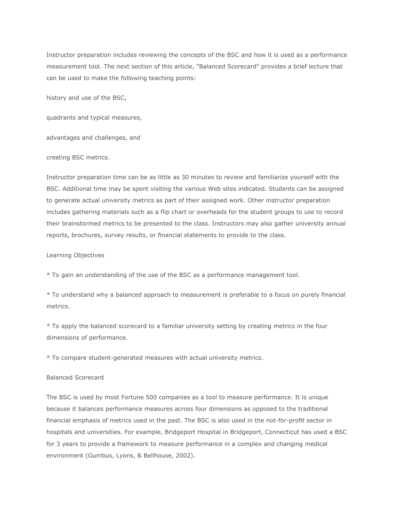Instructor preparation includes reviewing the concepts of the BSC and how it is used as a performance measurement tool. The next section of this article, "Balanced Scorecard" provides a brief lecture that can be used to make the following teaching points:

history and use of the BSC,

quadrants and typical measures,

advantages and challenges, and

#### creating BSC metrics.

Instructor preparation time can be as little as 30 minutes to review and familiarize yourself with the BSC. Additional time may be spent visiting the various Web sites indicated. Students can be assigned to generate actual university metrics as part of their assigned work. Other instructor preparation includes gathering materials such as a flip chart or overheads for the student groups to use to record their brainstormed metrics to be presented to the class. Instructors may also gather university annual reports, brochures, survey results, or financial statements to provide to the class.

#### Learning Objectives

\* To gain an understanding of the use of the BSC as a performance management tool.

\* To understand why a balanced approach to measurement is preferable to a focus on purely financial metrics.

\* To apply the balanced scorecard to a familiar university setting by creating metrics in the four dimensions of performance.

\* To compare student-generated measures with actual university metrics.

### Balanced Scorecard

The BSC is used by most Fortune 500 companies as a tool to measure performance. It is unique because it balances performance measures across four dimensions as opposed to the traditional financial emphasis of metrics used in the past. The BSC is also used in the not-for-profit sector in hospitals and universities. For example, Bridgeport Hospital in Bridgeport, Connecticut has used a BSC for 3 years to provide a framework to measure performance in a complex and changing medical environment (Gumbus, Lyons, & Bellhouse, 2002).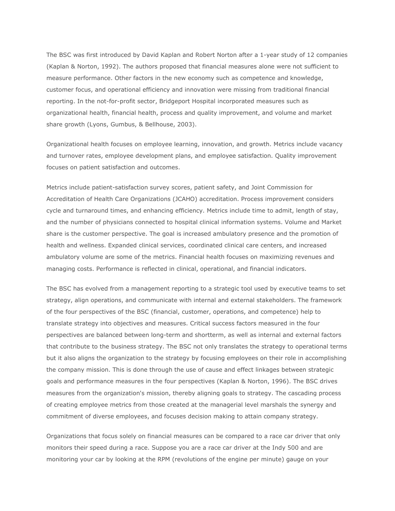The BSC was first introduced by David Kaplan and Robert Norton after a 1-year study of 12 companies (Kaplan & Norton, 1992). The authors proposed that financial measures alone were not sufficient to measure performance. Other factors in the new economy such as competence and knowledge, customer focus, and operational efficiency and innovation were missing from traditional financial reporting. In the not-for-profit sector, Bridgeport Hospital incorporated measures such as organizational health, financial health, process and quality improvement, and volume and market share growth (Lyons, Gumbus, & Bellhouse, 2003).

Organizational health focuses on employee learning, innovation, and growth. Metrics include vacancy and turnover rates, employee development plans, and employee satisfaction. Quality improvement focuses on patient satisfaction and outcomes.

Metrics include patient-satisfaction survey scores, patient safety, and Joint Commission for Accreditation of Health Care Organizations (JCAHO) accreditation. Process improvement considers cycle and turnaround times, and enhancing efficiency. Metrics include time to admit, length of stay, and the number of physicians connected to hospital clinical information systems. Volume and Market share is the customer perspective. The goal is increased ambulatory presence and the promotion of health and wellness. Expanded clinical services, coordinated clinical care centers, and increased ambulatory volume are some of the metrics. Financial health focuses on maximizing revenues and managing costs. Performance is reflected in clinical, operational, and financial indicators.

The BSC has evolved from a management reporting to a strategic tool used by executive teams to set strategy, align operations, and communicate with internal and external stakeholders. The framework of the four perspectives of the BSC (financial, customer, operations, and competence) help to translate strategy into objectives and measures. Critical success factors measured in the four perspectives are balanced between long-term and shortterm, as well as internal and external factors that contribute to the business strategy. The BSC not only translates the strategy to operational terms but it also aligns the organization to the strategy by focusing employees on their role in accomplishing the company mission. This is done through the use of cause and effect linkages between strategic goals and performance measures in the four perspectives (Kaplan & Norton, 1996). The BSC drives measures from the organization's mission, thereby aligning goals to strategy. The cascading process of creating employee metrics from those created at the managerial level marshals the synergy and commitment of diverse employees, and focuses decision making to attain company strategy.

Organizations that focus solely on financial measures can be compared to a race car driver that only monitors their speed during a race. Suppose you are a race car driver at the Indy 500 and are monitoring your car by looking at the RPM (revolutions of the engine per minute) gauge on your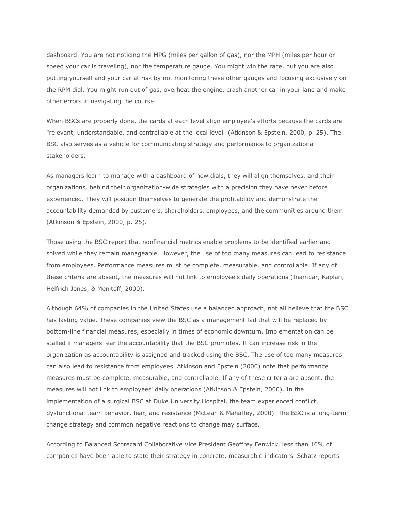dashboard. You are not noticing the MPG (miles per gallon of gas), nor the MPH (miles per hour or speed your car is traveling), nor the temperature gauge. You might win the race, but you are also putting yourself and your car at risk by not monitoring these other gauges and focusing exclusively on the RPM dial. You might run out of gas, overheat the engine, crash another car in your lane and make other errors in navigating the course.

When BSCs are properly done, the cards at each level align employee's efforts because the cards are "relevant, understandable, and controllable at the local level" (Atkinson & Epstein, 2000, p. 25). The BSC also serves as a vehicle for communicating strategy and performance to organizational stakeholders.

As managers learn to manage with a dashboard of new dials, they will align themselves, and their organizations, behind their organization-wide strategies with a precision they have never before experienced. They will position themselves to generate the profitability and demonstrate the accountability demanded by customers, shareholders, employees, and the communities around them (Atkinson & Epstein, 2000, p. 25).

Those using the BSC report that nonfinancial metrics enable problems to be identified earlier and solved while they remain manageable. However, the use of too many measures can lead to resistance from employees. Performance measures must be complete, measurable, and controllable. If any of these criteria are absent, the measures will not link to employee's daily operations (Inamdar, Kaplan, Helfrich Jones, & Menitoff, 2000).

Although 64% of companies in the United States use a balanced approach, not all believe that the BSC has lasting value. These companies view the BSC as a management fad that will be replaced by bottom-line financial measures, especially in times of economic downturn. Implementation can be stalled if managers fear the accountability that the BSC promotes. It can increase risk in the organization as accountability is assigned and tracked using the BSC. The use of too many measures can also lead to resistance from employees. Atkinson and Epstein (2000) note that performance measures must be complete, measurable, and controllable. If any of these criteria are absent, the measures will not link to employees' daily operations (Atkinson & Epstein, 2000). In the implementation of a surgical BSC at Duke University Hospital, the team experienced conflict, dysfunctional team behavior, fear, and resistance (McLean & Mahaffey, 2000). The BSC is a long-term change strategy and common negative reactions to change may surface.

According to Balanced Scorecard Collaborative Vice President Geoffrey Fenwick, less than 10% of companies have been able to state their strategy in concrete, measurable indicators. Schatz reports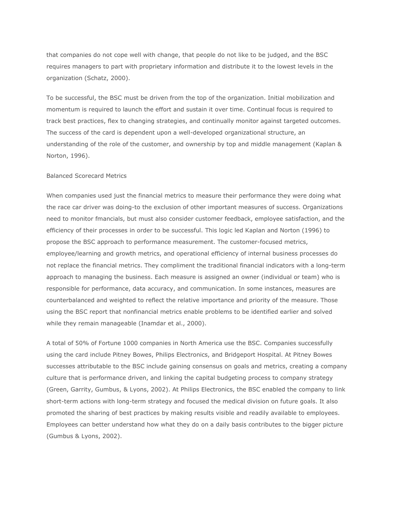that companies do not cope well with change, that people do not like to be judged, and the BSC requires managers to part with proprietary information and distribute it to the lowest levels in the organization (Schatz, 2000).

To be successful, the BSC must be driven from the top of the organization. Initial mobilization and momentum is required to launch the effort and sustain it over time. Continual focus is required to track best practices, flex to changing strategies, and continually monitor against targeted outcomes. The success of the card is dependent upon a well-developed organizational structure, an understanding of the role of the customer, and ownership by top and middle management (Kaplan & Norton, 1996).

#### Balanced Scorecard Metrics

When companies used just the financial metrics to measure their performance they were doing what the race car driver was doing-to the exclusion of other important measures of success. Organizations need to monitor fmancials, but must also consider customer feedback, employee satisfaction, and the efficiency of their processes in order to be successful. This logic led Kaplan and Norton (1996) to propose the BSC approach to performance measurement. The customer-focused metrics, employee/learning and growth metrics, and operational efficiency of internal business processes do not replace the financial metrics. They compliment the traditional financial indicators with a long-term approach to managing the business. Each measure is assigned an owner (individual or team) who is responsible for performance, data accuracy, and communication. In some instances, measures are counterbalanced and weighted to reflect the relative importance and priority of the measure. Those using the BSC report that nonfinancial metrics enable problems to be identified earlier and solved while they remain manageable (Inamdar et al., 2000).

A total of 50% of Fortune 1000 companies in North America use the BSC. Companies successfully using the card include Pitney Bowes, Philips Electronics, and Bridgeport Hospital. At Pitney Bowes successes attributable to the BSC include gaining consensus on goals and metrics, creating a company culture that is performance driven, and linking the capital budgeting process to company strategy (Green, Garrity, Gumbus, & Lyons, 2002). At Philips Electronics, the BSC enabled the company to link short-term actions with long-term strategy and focused the medical division on future goals. It also promoted the sharing of best practices by making results visible and readily available to employees. Employees can better understand how what they do on a daily basis contributes to the bigger picture (Gumbus & Lyons, 2002).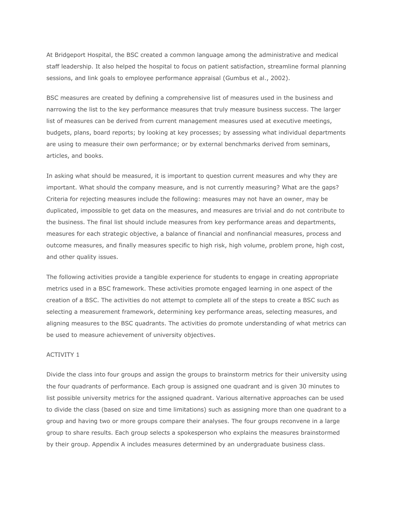At Bridgeport Hospital, the BSC created a common language among the administrative and medical staff leadership. It also helped the hospital to focus on patient satisfaction, streamline formal planning sessions, and link goals to employee performance appraisal (Gumbus et al., 2002).

BSC measures are created by defining a comprehensive list of measures used in the business and narrowing the list to the key performance measures that truly measure business success. The larger list of measures can be derived from current management measures used at executive meetings, budgets, plans, board reports; by looking at key processes; by assessing what individual departments are using to measure their own performance; or by external benchmarks derived from seminars, articles, and books.

In asking what should be measured, it is important to question current measures and why they are important. What should the company measure, and is not currently measuring? What are the gaps? Criteria for rejecting measures include the following: measures may not have an owner, may be duplicated, impossible to get data on the measures, and measures are trivial and do not contribute to the business. The final list should include measures from key performance areas and departments, measures for each strategic objective, a balance of financial and nonfinancial measures, process and outcome measures, and finally measures specific to high risk, high volume, problem prone, high cost, and other quality issues.

The following activities provide a tangible experience for students to engage in creating appropriate metrics used in a BSC framework. These activities promote engaged learning in one aspect of the creation of a BSC. The activities do not attempt to complete all of the steps to create a BSC such as selecting a measurement framework, determining key performance areas, selecting measures, and aligning measures to the BSC quadrants. The activities do promote understanding of what metrics can be used to measure achievement of university objectives.

# ACTIVITY 1

Divide the class into four groups and assign the groups to brainstorm metrics for their university using the four quadrants of performance. Each group is assigned one quadrant and is given 30 minutes to list possible university metrics for the assigned quadrant. Various alternative approaches can be used to divide the class (based on size and time limitations) such as assigning more than one quadrant to a group and having two or more groups compare their analyses. The four groups reconvene in a large group to share results. Each group selects a spokesperson who explains the measures brainstormed by their group. Appendix A includes measures determined by an undergraduate business class.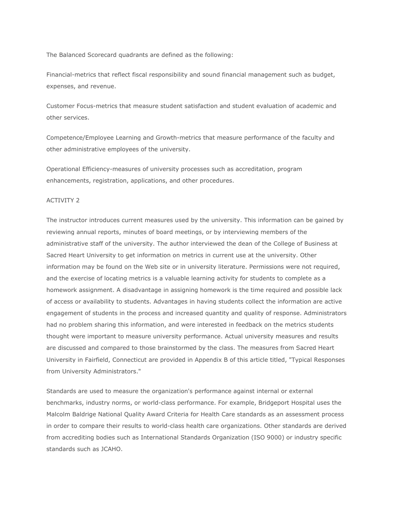The Balanced Scorecard quadrants are defined as the following:

Financial-metrics that reflect fiscal responsibility and sound financial management such as budget, expenses, and revenue.

Customer Focus-metrics that measure student satisfaction and student evaluation of academic and other services.

Competence/Employee Learning and Growth-metrics that measure performance of the faculty and other administrative employees of the university.

Operational Efficiency-measures of university processes such as accreditation, program enhancements, registration, applications, and other procedures.

#### ACTIVITY 2

The instructor introduces current measures used by the university. This information can be gained by reviewing annual reports, minutes of board meetings, or by interviewing members of the administrative staff of the university. The author interviewed the dean of the College of Business at Sacred Heart University to get information on metrics in current use at the university. Other information may be found on the Web site or in university literature. Permissions were not required, and the exercise of locating metrics is a valuable learning activity for students to complete as a homework assignment. A disadvantage in assigning homework is the time required and possible lack of access or availability to students. Advantages in having students collect the information are active engagement of students in the process and increased quantity and quality of response. Administrators had no problem sharing this information, and were interested in feedback on the metrics students thought were important to measure university performance. Actual university measures and results are discussed and compared to those brainstormed by the class. The measures from Sacred Heart University in Fairfield, Connecticut are provided in Appendix B of this article titled, "Typical Responses from University Administrators."

Standards are used to measure the organization's performance against internal or external benchmarks, industry norms, or world-class performance. For example, Bridgeport Hospital uses the Malcolm Baldrige National Quality Award Criteria for Health Care standards as an assessment process in order to compare their results to world-class health care organizations. Other standards are derived from accrediting bodies such as International Standards Organization (ISO 9000) or industry specific standards such as JCAHO.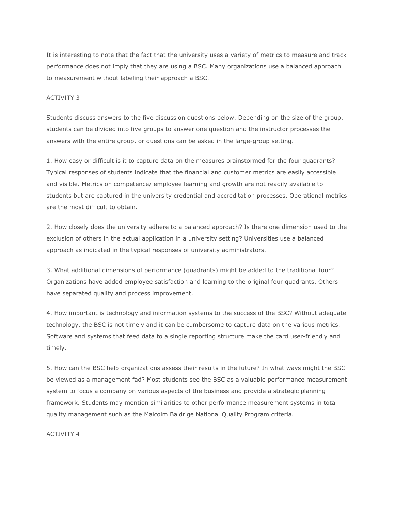It is interesting to note that the fact that the university uses a variety of metrics to measure and track performance does not imply that they are using a BSC. Many organizations use a balanced approach to measurement without labeling their approach a BSC.

#### ACTIVITY 3

Students discuss answers to the five discussion questions below. Depending on the size of the group, students can be divided into five groups to answer one question and the instructor processes the answers with the entire group, or questions can be asked in the large-group setting.

1. How easy or difficult is it to capture data on the measures brainstormed for the four quadrants? Typical responses of students indicate that the financial and customer metrics are easily accessible and visible. Metrics on competence/ employee learning and growth are not readily available to students but are captured in the university credential and accreditation processes. Operational metrics are the most difficult to obtain.

2. How closely does the university adhere to a balanced approach? Is there one dimension used to the exclusion of others in the actual application in a university setting? Universities use a balanced approach as indicated in the typical responses of university administrators.

3. What additional dimensions of performance (quadrants) might be added to the traditional four? Organizations have added employee satisfaction and learning to the original four quadrants. Others have separated quality and process improvement.

4. How important is technology and information systems to the success of the BSC? Without adequate technology, the BSC is not timely and it can be cumbersome to capture data on the various metrics. Software and systems that feed data to a single reporting structure make the card user-friendly and timely.

5. How can the BSC help organizations assess their results in the future? In what ways might the BSC be viewed as a management fad? Most students see the BSC as a valuable performance measurement system to focus a company on various aspects of the business and provide a strategic planning framework. Students may mention similarities to other performance measurement systems in total quality management such as the Malcolm Baldrige National Quality Program criteria.

#### ACTIVITY 4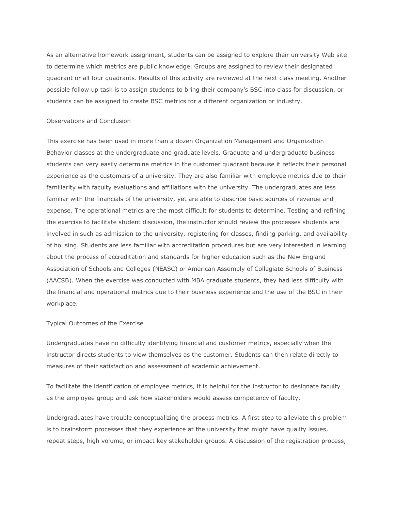As an alternative homework assignment, students can be assigned to explore their university Web site to determine which metrics are public knowledge. Groups are assigned to review their designated quadrant or all four quadrants. Results of this activity are reviewed at the next class meeting. Another possible follow up task is to assign students to bring their company's BSC into class for discussion, or students can be assigned to create BSC metrics for a different organization or industry.

#### Observations and Conclusion

This exercise has been used in more than a dozen Organization Management and Organization Behavior classes at the undergraduate and graduate levels. Graduate and undergraduate business students can very easily determine metrics in the customer quadrant because it reflects their personal experience as the customers of a university. They are also familiar with employee metrics due to their familiarity with faculty evaluations and affiliations with the university. The undergraduates are less familiar with the financials of the university, yet are able to describe basic sources of revenue and expense. The operational metrics are the most difficult for students to determine. Testing and refining the exercise to facilitate student discussion, the instructor should review the processes students are involved in such as admission to the university, registering for classes, finding parking, and availability of housing. Students are less familiar with accreditation procedures but are very interested in learning about the process of accreditation and standards for higher education such as the New England Association of Schools and Colleges (NEASC) or American Assembly of Collegiate Schools of Business (AACSB). When the exercise was conducted with MBA graduate students, they had less difficulty with the financial and operational metrics due to their business experience and the use of the BSC in their workplace.

#### Typical Outcomes of the Exercise

Undergraduates have no difficulty identifying financial and customer metrics, especially when the instructor directs students to view themselves as the customer. Students can then relate directly to measures of their satisfaction and assessment of academic achievement.

To facilitate the identification of employee metrics, it is helpful for the instructor to designate faculty as the employee group and ask how stakeholders would assess competency of faculty.

Undergraduates have trouble conceptualizing the process metrics. A first step to alleviate this problem is to brainstorm processes that they experience at the university that might have quality issues, repeat steps, high volume, or impact key stakeholder groups. A discussion of the registration process,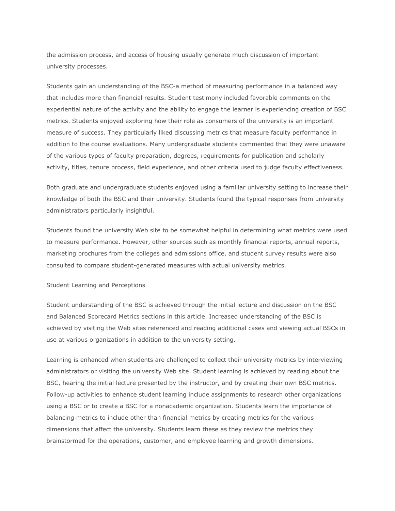the admission process, and access of housing usually generate much discussion of important university processes.

Students gain an understanding of the BSC-a method of measuring performance in a balanced way that includes more than financial results. Student testimony included favorable comments on the experiential nature of the activity and the ability to engage the learner is experiencing creation of BSC metrics. Students enjoyed exploring how their role as consumers of the university is an important measure of success. They particularly liked discussing metrics that measure faculty performance in addition to the course evaluations. Many undergraduate students commented that they were unaware of the various types of faculty preparation, degrees, requirements for publication and scholarly activity, titles, tenure process, field experience, and other criteria used to judge faculty effectiveness.

Both graduate and undergraduate students enjoyed using a familiar university setting to increase their knowledge of both the BSC and their university. Students found the typical responses from university administrators particularly insightful.

Students found the university Web site to be somewhat helpful in determining what metrics were used to measure performance. However, other sources such as monthly financial reports, annual reports, marketing brochures from the colleges and admissions office, and student survey results were also consulted to compare student-generated measures with actual university metrics.

#### Student Learning and Perceptions

Student understanding of the BSC is achieved through the initial lecture and discussion on the BSC and Balanced Scorecard Metrics sections in this article. Increased understanding of the BSC is achieved by visiting the Web sites referenced and reading additional cases and viewing actual BSCs in use at various organizations in addition to the university setting.

Learning is enhanced when students are challenged to collect their university metrics by interviewing administrators or visiting the university Web site. Student learning is achieved by reading about the BSC, hearing the initial lecture presented by the instructor, and by creating their own BSC metrics. Follow-up activities to enhance student learning include assignments to research other organizations using a BSC or to create a BSC for a nonacademic organization. Students learn the importance of balancing metrics to include other than financial metrics by creating metrics for the various dimensions that affect the university. Students learn these as they review the metrics they brainstormed for the operations, customer, and employee learning and growth dimensions.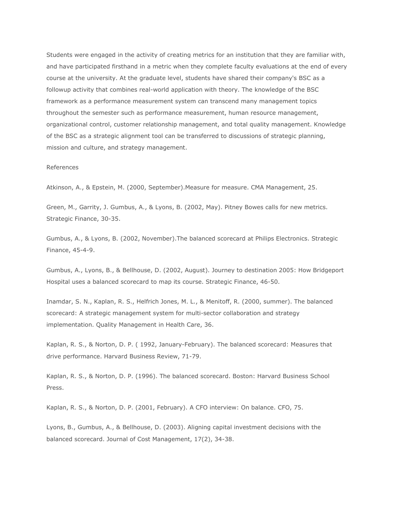Students were engaged in the activity of creating metrics for an institution that they are familiar with, and have participated firsthand in a metric when they complete faculty evaluations at the end of every course at the university. At the graduate level, students have shared their company's BSC as a followup activity that combines real-world application with theory. The knowledge of the BSC framework as a performance measurement system can transcend many management topics throughout the semester such as performance measurement, human resource management, organizational control, customer relationship management, and total quality management. Knowledge of the BSC as a strategic alignment tool can be transferred to discussions of strategic planning, mission and culture, and strategy management.

#### References

Atkinson, A., & Epstein, M. (2000, September).Measure for measure. CMA Management, 25.

Green, M., Garrity, J. Gumbus, A., & Lyons, B. (2002, May). Pitney Bowes calls for new metrics. Strategic Finance, 30-35.

Gumbus, A., & Lyons, B. (2002, November).The balanced scorecard at Philips Electronics. Strategic Finance, 45-4-9.

Gumbus, A., Lyons, B., & Bellhouse, D. (2002, August). Journey to destination 2005: How Bridgeport Hospital uses a balanced scorecard to map its course. Strategic Finance, 46-50.

Inamdar, S. N., Kaplan, R. S., Helfrich Jones, M. L., & Menitoff, R. (2000, summer). The balanced scorecard: A strategic management system for multi-sector collaboration and strategy implementation. Quality Management in Health Care, 36.

Kaplan, R. S., & Norton, D. P. ( 1992, January-February). The balanced scorecard: Measures that drive performance. Harvard Business Review, 71-79.

Kaplan, R. S., & Norton, D. P. (1996). The balanced scorecard. Boston: Harvard Business School Press.

Kaplan, R. S., & Norton, D. P. (2001, February). A CFO interview: On balance. CFO, 75.

Lyons, B., Gumbus, A., & Bellhouse, D. (2003). Aligning capital investment decisions with the balanced scorecard. Journal of Cost Management, 17(2), 34-38.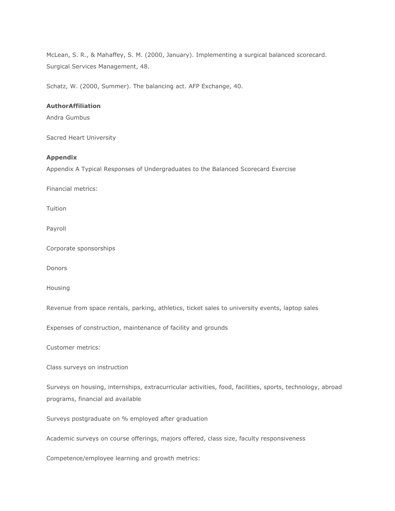McLean, S. R., & Mahaffey, S. M. (2000, January). Implementing a surgical balanced scorecard. Surgical Services Management, 48.

Schatz, W. (2000, Summer). The balancing act. AFP Exchange, 40.

# AuthorAffiliation

Andra Gumbus

Sacred Heart University

# Appendix

Appendix A Typical Responses of Undergraduates to the Balanced Scorecard Exercise

Financial metrics:

Tuition

Payroll

Corporate sponsorships

Donors

Housing

Revenue from space rentals, parking, athletics, ticket sales to university events, laptop sales

Expenses of construction, maintenance of facility and grounds

Customer metrics:

Class surveys on instruction

Surveys on housing, internships, extracurricular activities, food, facilities, sports, technology, abroad programs, financial aid available

Surveys postgraduate on % employed after graduation

Academic surveys on course offerings, majors offered, class size, faculty responsiveness

Competence/employee learning and growth metrics: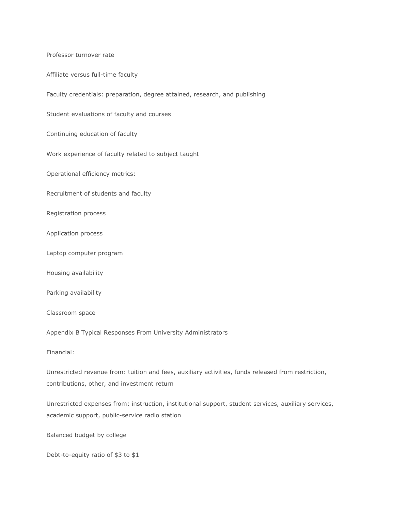Professor turnover rate Affiliate versus full-time faculty Faculty credentials: preparation, degree attained, research, and publishing Student evaluations of faculty and courses Continuing education of faculty Work experience of faculty related to subject taught Operational efficiency metrics: Recruitment of students and faculty Registration process Application process Laptop computer program Housing availability Parking availability Classroom space Appendix B Typical Responses From University Administrators Financial: Unrestricted revenue from: tuition and fees, auxiliary activities, funds released from restriction, contributions, other, and investment return Unrestricted expenses from: instruction, institutional support, student services, auxiliary services, academic support, public-service radio station

Balanced budget by college

Debt-to-equity ratio of \$3 to \$1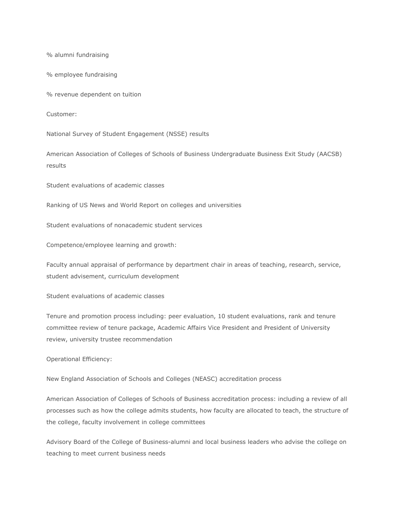% alumni fundraising

% employee fundraising

% revenue dependent on tuition

Customer:

National Survey of Student Engagement (NSSE) results

American Association of Colleges of Schools of Business Undergraduate Business Exit Study (AACSB) results

Student evaluations of academic classes

Ranking of US News and World Report on colleges and universities

Student evaluations of nonacademic student services

Competence/employee learning and growth:

Faculty annual appraisal of performance by department chair in areas of teaching, research, service, student advisement, curriculum development

Student evaluations of academic classes

Tenure and promotion process including: peer evaluation, 10 student evaluations, rank and tenure committee review of tenure package, Academic Affairs Vice President and President of University review, university trustee recommendation

Operational Efficiency:

New England Association of Schools and Colleges (NEASC) accreditation process

American Association of Colleges of Schools of Business accreditation process: including a review of all processes such as how the college admits students, how faculty are allocated to teach, the structure of the college, faculty involvement in college committees

Advisory Board of the College of Business-alumni and local business leaders who advise the college on teaching to meet current business needs